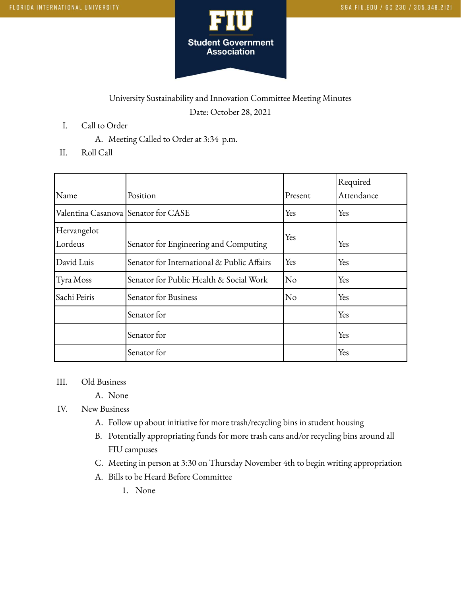

## University Sustainability and Innovation Committee Meeting Minutes Date: October 28, 2021

- I. Call to Order
	- A. Meeting Called to Order at 3:34 p.m.
- II. Roll Call

|                                     |                                            |            | Required   |
|-------------------------------------|--------------------------------------------|------------|------------|
| Name                                | Position                                   | Present    | Attendance |
| Valentina Casanova Senator for CASE |                                            | Yes        | Yes        |
| Hervangelot                         |                                            | Yes<br>Yes |            |
| Lordeus                             | Senator for Engineering and Computing      |            |            |
| David Luis                          | Senator for International & Public Affairs | Yes        | Yes        |
| Tyra Moss                           | Senator for Public Health & Social Work    | No         | Yes        |
| Sachi Peiris                        | Senator for Business                       | No         | Yes        |
|                                     | Senator for                                |            | Yes        |
|                                     | Senator for                                |            | Yes        |
|                                     | Senator for                                |            | Yes        |

## III. Old Business

- A. None
- IV. New Business
	- A. Follow up about initiative for more trash/recycling bins in student housing
	- B. Potentially appropriating funds for more trash cans and/or recycling bins around all FIU campuses
	- C. Meeting in person at 3:30 on Thursday November 4th to begin writing appropriation
	- A. Bills to be Heard Before Committee
		- 1. None